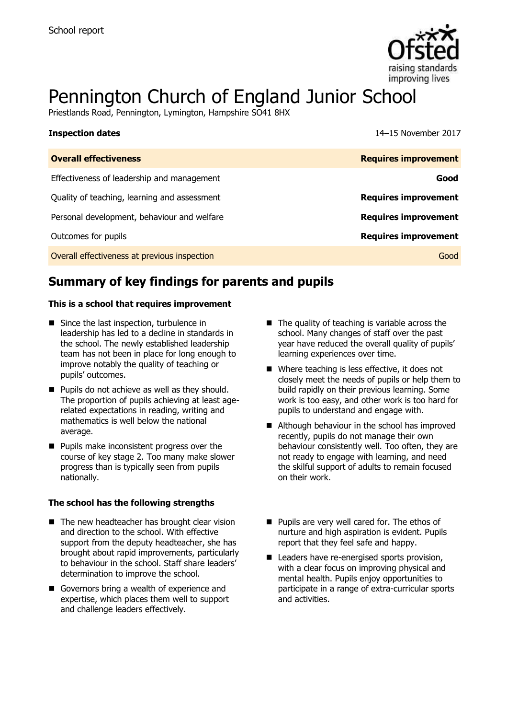

# Pennington Church of England Junior School

Priestlands Road, Pennington, Lymington, Hampshire SO41 8HX

| <b>Inspection dates</b>                      | 14–15 November 2017         |
|----------------------------------------------|-----------------------------|
| <b>Overall effectiveness</b>                 | <b>Requires improvement</b> |
| Effectiveness of leadership and management   | Good                        |
| Quality of teaching, learning and assessment | <b>Requires improvement</b> |
| Personal development, behaviour and welfare  | <b>Requires improvement</b> |
| Outcomes for pupils                          | <b>Requires improvement</b> |
| Overall effectiveness at previous inspection | Good                        |

# **Summary of key findings for parents and pupils**

### **This is a school that requires improvement**

- Since the last inspection, turbulence in leadership has led to a decline in standards in the school. The newly established leadership team has not been in place for long enough to improve notably the quality of teaching or pupils' outcomes.
- **Pupils do not achieve as well as they should.** The proportion of pupils achieving at least agerelated expectations in reading, writing and mathematics is well below the national average.
- **Pupils make inconsistent progress over the** course of key stage 2. Too many make slower progress than is typically seen from pupils nationally.

### **The school has the following strengths**

- $\blacksquare$  The new headteacher has brought clear vision and direction to the school. With effective support from the deputy headteacher, she has brought about rapid improvements, particularly to behaviour in the school. Staff share leaders' determination to improve the school.
- Governors bring a wealth of experience and expertise, which places them well to support and challenge leaders effectively.
- $\blacksquare$  The quality of teaching is variable across the school. Many changes of staff over the past year have reduced the overall quality of pupils' learning experiences over time.
- Where teaching is less effective, it does not closely meet the needs of pupils or help them to build rapidly on their previous learning. Some work is too easy, and other work is too hard for pupils to understand and engage with.
- Although behaviour in the school has improved recently, pupils do not manage their own behaviour consistently well. Too often, they are not ready to engage with learning, and need the skilful support of adults to remain focused on their work.
- **Pupils are very well cared for. The ethos of** nurture and high aspiration is evident. Pupils report that they feel safe and happy.
- Leaders have re-energised sports provision, with a clear focus on improving physical and mental health. Pupils enjoy opportunities to participate in a range of extra-curricular sports and activities.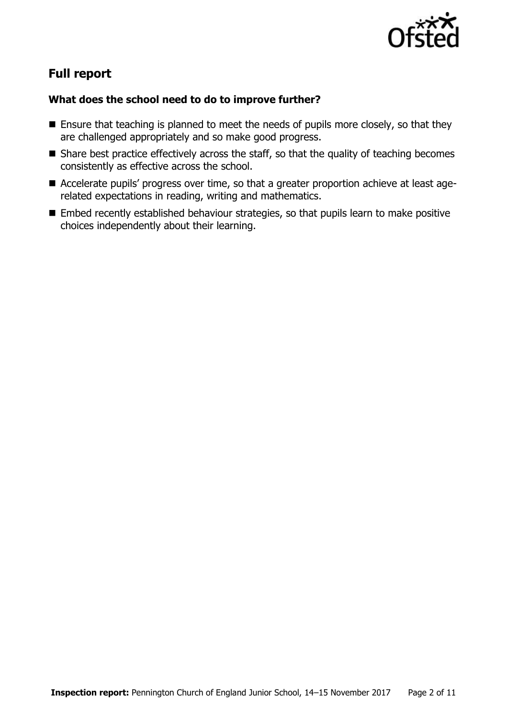

# **Full report**

### **What does the school need to do to improve further?**

- **Ensure that teaching is planned to meet the needs of pupils more closely, so that they** are challenged appropriately and so make good progress.
- Share best practice effectively across the staff, so that the quality of teaching becomes consistently as effective across the school.
- Accelerate pupils' progress over time, so that a greater proportion achieve at least agerelated expectations in reading, writing and mathematics.
- **Embed recently established behaviour strategies, so that pupils learn to make positive** choices independently about their learning.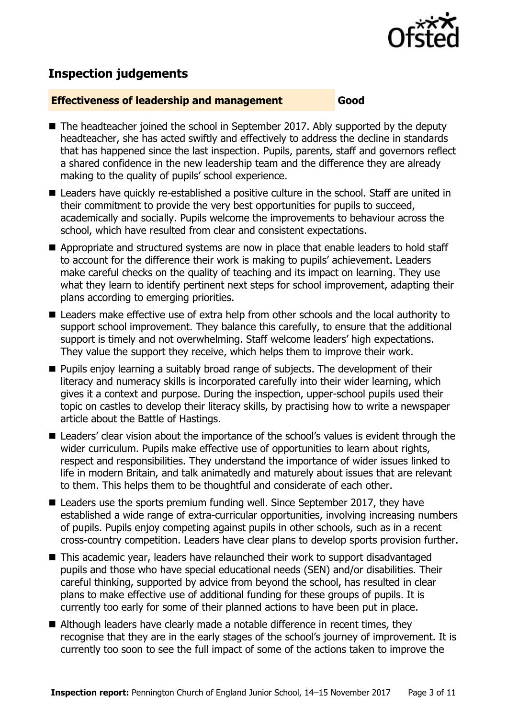

# **Inspection judgements**

### **Effectiveness of leadership and management Good**

- The headteacher joined the school in September 2017. Ably supported by the deputy headteacher, she has acted swiftly and effectively to address the decline in standards that has happened since the last inspection. Pupils, parents, staff and governors reflect a shared confidence in the new leadership team and the difference they are already making to the quality of pupils' school experience.
- Leaders have quickly re-established a positive culture in the school. Staff are united in their commitment to provide the very best opportunities for pupils to succeed, academically and socially. Pupils welcome the improvements to behaviour across the school, which have resulted from clear and consistent expectations.
- Appropriate and structured systems are now in place that enable leaders to hold staff to account for the difference their work is making to pupils' achievement. Leaders make careful checks on the quality of teaching and its impact on learning. They use what they learn to identify pertinent next steps for school improvement, adapting their plans according to emerging priorities.
- Leaders make effective use of extra help from other schools and the local authority to support school improvement. They balance this carefully, to ensure that the additional support is timely and not overwhelming. Staff welcome leaders' high expectations. They value the support they receive, which helps them to improve their work.
- **Pupils enjoy learning a suitably broad range of subjects. The development of their** literacy and numeracy skills is incorporated carefully into their wider learning, which gives it a context and purpose. During the inspection, upper-school pupils used their topic on castles to develop their literacy skills, by practising how to write a newspaper article about the Battle of Hastings.
- Leaders' clear vision about the importance of the school's values is evident through the wider curriculum. Pupils make effective use of opportunities to learn about rights, respect and responsibilities. They understand the importance of wider issues linked to life in modern Britain, and talk animatedly and maturely about issues that are relevant to them. This helps them to be thoughtful and considerate of each other.
- Leaders use the sports premium funding well. Since September 2017, they have established a wide range of extra-curricular opportunities, involving increasing numbers of pupils. Pupils enjoy competing against pupils in other schools, such as in a recent cross-country competition. Leaders have clear plans to develop sports provision further.
- This academic year, leaders have relaunched their work to support disadvantaged pupils and those who have special educational needs (SEN) and/or disabilities. Their careful thinking, supported by advice from beyond the school, has resulted in clear plans to make effective use of additional funding for these groups of pupils. It is currently too early for some of their planned actions to have been put in place.
- Although leaders have clearly made a notable difference in recent times, they recognise that they are in the early stages of the school's journey of improvement. It is currently too soon to see the full impact of some of the actions taken to improve the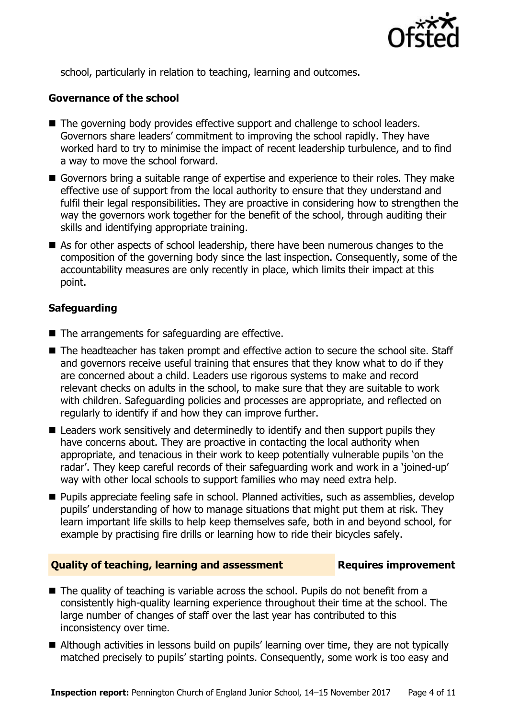

school, particularly in relation to teaching, learning and outcomes.

### **Governance of the school**

- The governing body provides effective support and challenge to school leaders. Governors share leaders' commitment to improving the school rapidly. They have worked hard to try to minimise the impact of recent leadership turbulence, and to find a way to move the school forward.
- Governors bring a suitable range of expertise and experience to their roles. They make effective use of support from the local authority to ensure that they understand and fulfil their legal responsibilities. They are proactive in considering how to strengthen the way the governors work together for the benefit of the school, through auditing their skills and identifying appropriate training.
- As for other aspects of school leadership, there have been numerous changes to the composition of the governing body since the last inspection. Consequently, some of the accountability measures are only recently in place, which limits their impact at this point.

### **Safeguarding**

- The arrangements for safeguarding are effective.
- The headteacher has taken prompt and effective action to secure the school site. Staff and governors receive useful training that ensures that they know what to do if they are concerned about a child. Leaders use rigorous systems to make and record relevant checks on adults in the school, to make sure that they are suitable to work with children. Safeguarding policies and processes are appropriate, and reflected on regularly to identify if and how they can improve further.
- Leaders work sensitively and determinedly to identify and then support pupils they have concerns about. They are proactive in contacting the local authority when appropriate, and tenacious in their work to keep potentially vulnerable pupils 'on the radar'. They keep careful records of their safeguarding work and work in a 'joined-up' way with other local schools to support families who may need extra help.
- **Pupils appreciate feeling safe in school. Planned activities, such as assemblies, develop** pupils' understanding of how to manage situations that might put them at risk. They learn important life skills to help keep themselves safe, both in and beyond school, for example by practising fire drills or learning how to ride their bicycles safely.

### **Quality of teaching, learning and assessment Fig. 2.1 Requires improvement**

- The quality of teaching is variable across the school. Pupils do not benefit from a consistently high-quality learning experience throughout their time at the school. The large number of changes of staff over the last year has contributed to this inconsistency over time.
- Although activities in lessons build on pupils' learning over time, they are not typically matched precisely to pupils' starting points. Consequently, some work is too easy and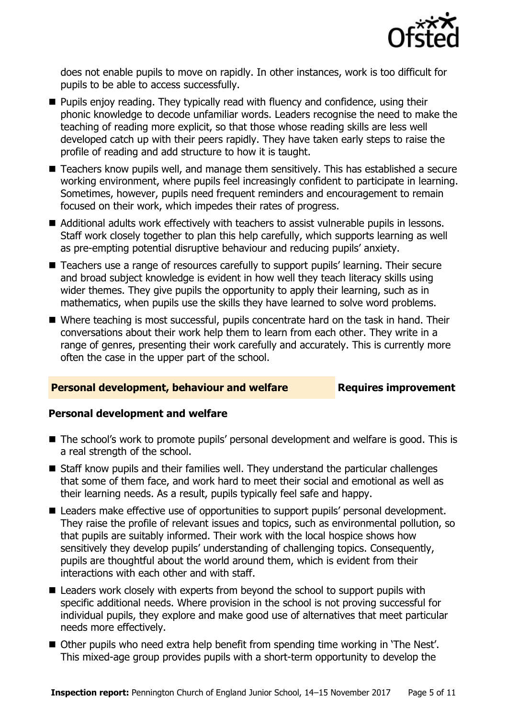

does not enable pupils to move on rapidly. In other instances, work is too difficult for pupils to be able to access successfully.

- **Pupils enjoy reading. They typically read with fluency and confidence, using their** phonic knowledge to decode unfamiliar words. Leaders recognise the need to make the teaching of reading more explicit, so that those whose reading skills are less well developed catch up with their peers rapidly. They have taken early steps to raise the profile of reading and add structure to how it is taught.
- Teachers know pupils well, and manage them sensitively. This has established a secure working environment, where pupils feel increasingly confident to participate in learning. Sometimes, however, pupils need frequent reminders and encouragement to remain focused on their work, which impedes their rates of progress.
- Additional adults work effectively with teachers to assist vulnerable pupils in lessons. Staff work closely together to plan this help carefully, which supports learning as well as pre-empting potential disruptive behaviour and reducing pupils' anxiety.
- Teachers use a range of resources carefully to support pupils' learning. Their secure and broad subject knowledge is evident in how well they teach literacy skills using wider themes. They give pupils the opportunity to apply their learning, such as in mathematics, when pupils use the skills they have learned to solve word problems.
- Where teaching is most successful, pupils concentrate hard on the task in hand. Their conversations about their work help them to learn from each other. They write in a range of genres, presenting their work carefully and accurately. This is currently more often the case in the upper part of the school.

### **Personal development, behaviour and welfare Fig. 2.1 Requires improvement**

### **Personal development and welfare**

- The school's work to promote pupils' personal development and welfare is good. This is a real strength of the school.
- Staff know pupils and their families well. They understand the particular challenges that some of them face, and work hard to meet their social and emotional as well as their learning needs. As a result, pupils typically feel safe and happy.
- Leaders make effective use of opportunities to support pupils' personal development. They raise the profile of relevant issues and topics, such as environmental pollution, so that pupils are suitably informed. Their work with the local hospice shows how sensitively they develop pupils' understanding of challenging topics. Consequently, pupils are thoughtful about the world around them, which is evident from their interactions with each other and with staff.
- Leaders work closely with experts from beyond the school to support pupils with specific additional needs. Where provision in the school is not proving successful for individual pupils, they explore and make good use of alternatives that meet particular needs more effectively.
- Other pupils who need extra help benefit from spending time working in 'The Nest'. This mixed-age group provides pupils with a short-term opportunity to develop the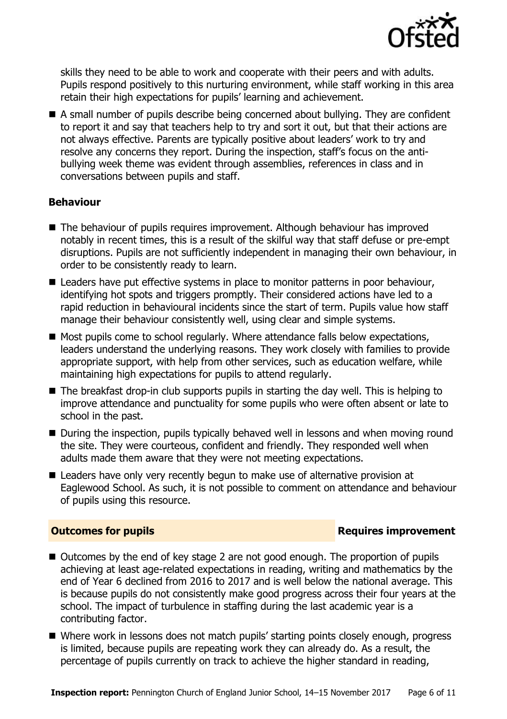

skills they need to be able to work and cooperate with their peers and with adults. Pupils respond positively to this nurturing environment, while staff working in this area retain their high expectations for pupils' learning and achievement.

■ A small number of pupils describe being concerned about bullying. They are confident to report it and say that teachers help to try and sort it out, but that their actions are not always effective. Parents are typically positive about leaders' work to try and resolve any concerns they report. During the inspection, staff's focus on the antibullying week theme was evident through assemblies, references in class and in conversations between pupils and staff.

### **Behaviour**

- The behaviour of pupils requires improvement. Although behaviour has improved notably in recent times, this is a result of the skilful way that staff defuse or pre-empt disruptions. Pupils are not sufficiently independent in managing their own behaviour, in order to be consistently ready to learn.
- Leaders have put effective systems in place to monitor patterns in poor behaviour, identifying hot spots and triggers promptly. Their considered actions have led to a rapid reduction in behavioural incidents since the start of term. Pupils value how staff manage their behaviour consistently well, using clear and simple systems.
- Most pupils come to school regularly. Where attendance falls below expectations, leaders understand the underlying reasons. They work closely with families to provide appropriate support, with help from other services, such as education welfare, while maintaining high expectations for pupils to attend regularly.
- $\blacksquare$  The breakfast drop-in club supports pupils in starting the day well. This is helping to improve attendance and punctuality for some pupils who were often absent or late to school in the past.
- During the inspection, pupils typically behaved well in lessons and when moving round the site. They were courteous, confident and friendly. They responded well when adults made them aware that they were not meeting expectations.
- Leaders have only very recently begun to make use of alternative provision at Eaglewood School. As such, it is not possible to comment on attendance and behaviour of pupils using this resource.

### **Outcomes for pupils Requires improvement**

- Outcomes by the end of key stage 2 are not good enough. The proportion of pupils achieving at least age-related expectations in reading, writing and mathematics by the end of Year 6 declined from 2016 to 2017 and is well below the national average. This is because pupils do not consistently make good progress across their four years at the school. The impact of turbulence in staffing during the last academic year is a contributing factor.
- Where work in lessons does not match pupils' starting points closely enough, progress is limited, because pupils are repeating work they can already do. As a result, the percentage of pupils currently on track to achieve the higher standard in reading,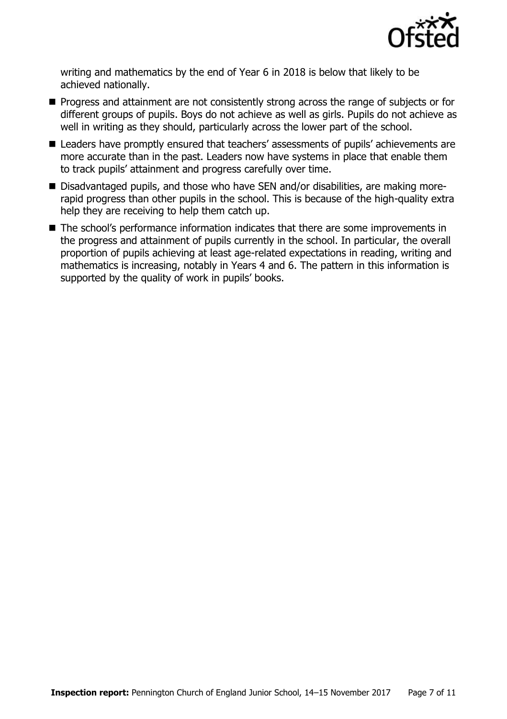

writing and mathematics by the end of Year 6 in 2018 is below that likely to be achieved nationally.

- **Progress and attainment are not consistently strong across the range of subjects or for** different groups of pupils. Boys do not achieve as well as girls. Pupils do not achieve as well in writing as they should, particularly across the lower part of the school.
- Leaders have promptly ensured that teachers' assessments of pupils' achievements are more accurate than in the past. Leaders now have systems in place that enable them to track pupils' attainment and progress carefully over time.
- Disadvantaged pupils, and those who have SEN and/or disabilities, are making morerapid progress than other pupils in the school. This is because of the high-quality extra help they are receiving to help them catch up.
- The school's performance information indicates that there are some improvements in the progress and attainment of pupils currently in the school. In particular, the overall proportion of pupils achieving at least age-related expectations in reading, writing and mathematics is increasing, notably in Years 4 and 6. The pattern in this information is supported by the quality of work in pupils' books.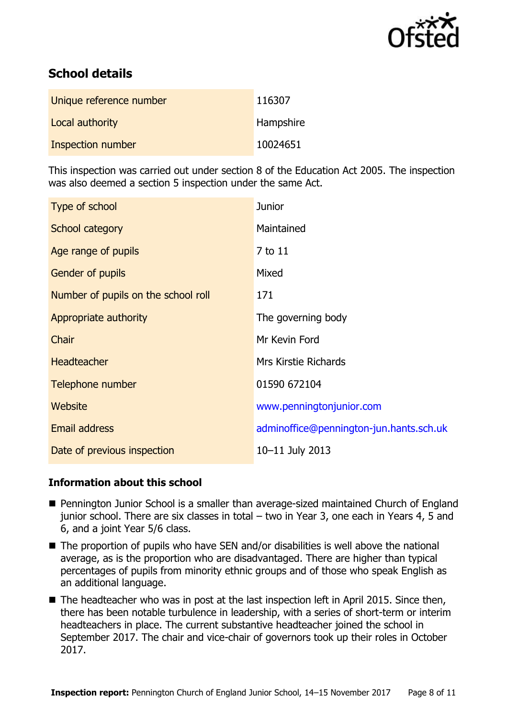

# **School details**

| Unique reference number | 116307           |
|-------------------------|------------------|
| Local authority         | <b>Hampshire</b> |
| Inspection number       | 10024651         |

This inspection was carried out under section 8 of the Education Act 2005. The inspection was also deemed a section 5 inspection under the same Act.

| Type of school                      | <b>Junior</b>                           |
|-------------------------------------|-----------------------------------------|
| School category                     | Maintained                              |
| Age range of pupils                 | 7 to 11                                 |
| Gender of pupils                    | Mixed                                   |
| Number of pupils on the school roll | 171                                     |
| Appropriate authority               | The governing body                      |
| Chair                               | Mr Kevin Ford                           |
| <b>Headteacher</b>                  | <b>Mrs Kirstie Richards</b>             |
| Telephone number                    | 01590 672104                            |
| <b>Website</b>                      | www.penningtonjunior.com                |
| Email address                       | adminoffice@pennington-jun.hants.sch.uk |
| Date of previous inspection         | 10-11 July 2013                         |

### **Information about this school**

- Pennington Junior School is a smaller than average-sized maintained Church of England junior school. There are six classes in total – two in Year 3, one each in Years 4, 5 and 6, and a joint Year 5/6 class.
- The proportion of pupils who have SEN and/or disabilities is well above the national average, as is the proportion who are disadvantaged. There are higher than typical percentages of pupils from minority ethnic groups and of those who speak English as an additional language.
- The headteacher who was in post at the last inspection left in April 2015. Since then, there has been notable turbulence in leadership, with a series of short-term or interim headteachers in place. The current substantive headteacher joined the school in September 2017. The chair and vice-chair of governors took up their roles in October 2017.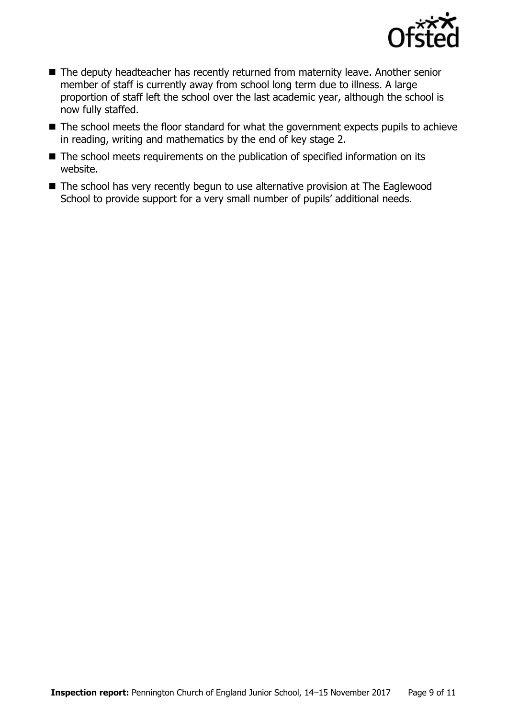

- The deputy headteacher has recently returned from maternity leave. Another senior member of staff is currently away from school long term due to illness. A large proportion of staff left the school over the last academic year, although the school is now fully staffed.
- The school meets the floor standard for what the government expects pupils to achieve in reading, writing and mathematics by the end of key stage 2.
- The school meets requirements on the publication of specified information on its website.
- The school has very recently begun to use alternative provision at The Eaglewood School to provide support for a very small number of pupils' additional needs.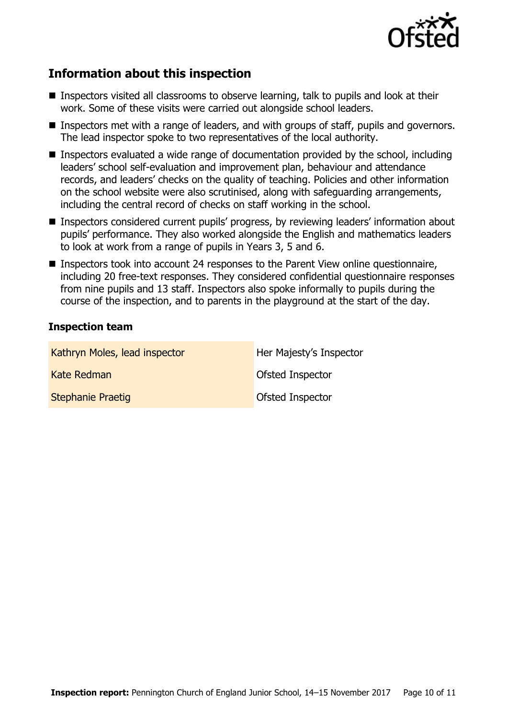

# **Information about this inspection**

- Inspectors visited all classrooms to observe learning, talk to pupils and look at their work. Some of these visits were carried out alongside school leaders.
- Inspectors met with a range of leaders, and with groups of staff, pupils and governors. The lead inspector spoke to two representatives of the local authority.
- Inspectors evaluated a wide range of documentation provided by the school, including leaders' school self-evaluation and improvement plan, behaviour and attendance records, and leaders' checks on the quality of teaching. Policies and other information on the school website were also scrutinised, along with safeguarding arrangements, including the central record of checks on staff working in the school.
- Inspectors considered current pupils' progress, by reviewing leaders' information about pupils' performance. They also worked alongside the English and mathematics leaders to look at work from a range of pupils in Years 3, 5 and 6.
- Inspectors took into account 24 responses to the Parent View online questionnaire, including 20 free-text responses. They considered confidential questionnaire responses from nine pupils and 13 staff. Inspectors also spoke informally to pupils during the course of the inspection, and to parents in the playground at the start of the day.

### **Inspection team**

| Kathryn Moles, lead inspector | Her Majesty's Inspector |
|-------------------------------|-------------------------|
| <b>Kate Redman</b>            | Ofsted Inspector        |
| <b>Stephanie Praetig</b>      | Ofsted Inspector        |